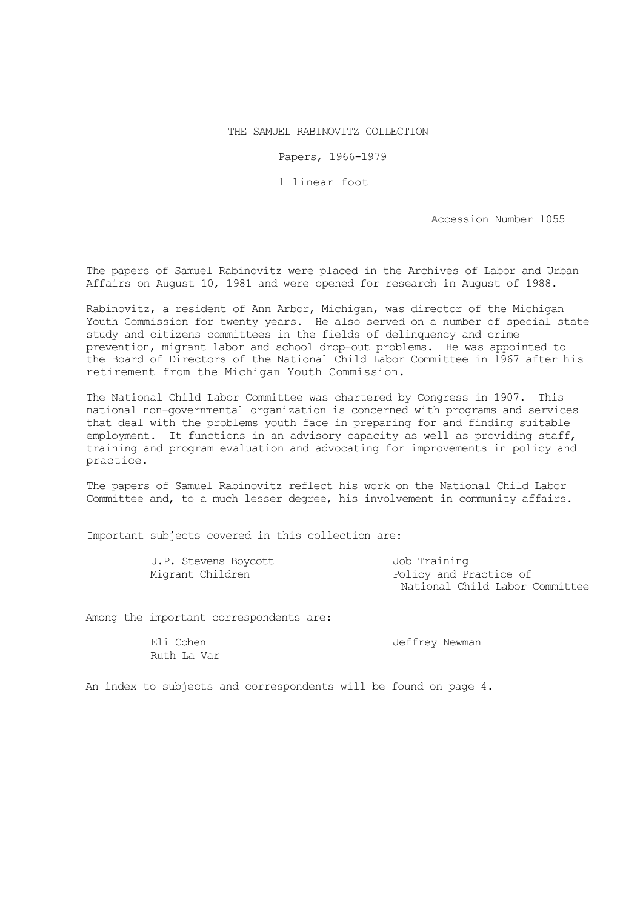## THE SAMUEL RABINOVITZ COLLECTION

Papers, 1966-1979

1 linear foot

Accession Number 1055

The papers of Samuel Rabinovitz were placed in the Archives of Labor and Urban Affairs on August 10, 1981 and were opened for research in August of 1988.

Rabinovitz, a resident of Ann Arbor, Michigan, was director of the Michigan Youth Commission for twenty years. He also served on a number of special state study and citizens committees in the fields of delinquency and crime prevention, migrant labor and school drop-out problems. He was appointed to the Board of Directors of the National Child Labor Committee in 1967 after his retirement from the Michigan Youth Commission.

The National Child Labor Committee was chartered by Congress in 1907. This national non-governmental organization is concerned with programs and services that deal with the problems youth face in preparing for and finding suitable employment. It functions in an advisory capacity as well as providing staff, training and program evaluation and advocating for improvements in policy and practice.

The papers of Samuel Rabinovitz reflect his work on the National Child Labor Committee and, to a much lesser degree, his involvement in community affairs.

Important subjects covered in this collection are:

| J.P. Stevens Boycott | Job Training                   |
|----------------------|--------------------------------|
| Migrant Children     | Policy and Practice of         |
|                      | National Child Labor Committee |

Among the important correspondents are:

Ruth La Var

Eli Cohen and Teffrey Newman

An index to subjects and correspondents will be found on page 4.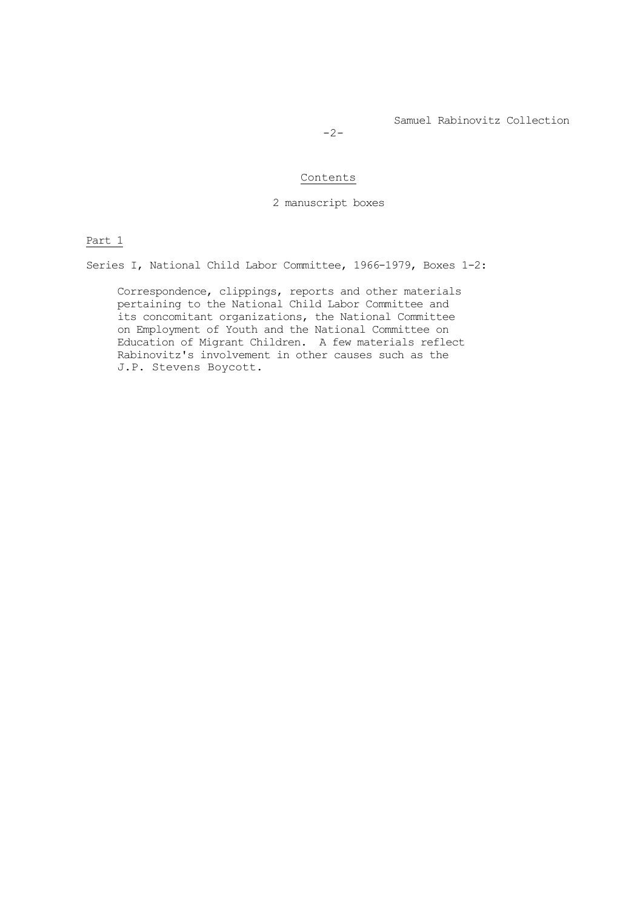Samuel Rabinovitz Collection

 $-2-$ 

## Contents

2 manuscript boxes

Part 1

Series I, National Child Labor Committee, 1966-1979, Boxes 1-2:

Correspondence, clippings, reports and other materials pertaining to the National Child Labor Committee and its concomitant organizations, the National Committee on Employment of Youth and the National Committee on Education of Migrant Children. A few materials reflect Rabinovitz's involvement in other causes such as the J.P. Stevens Boycott.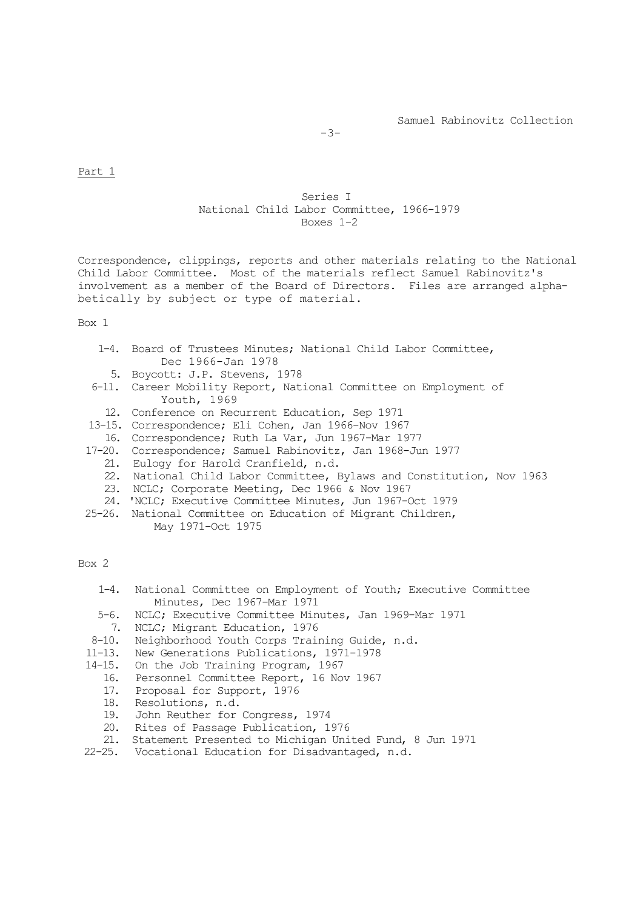$-3-$ 

## Part 1

## Series I National Child Labor Committee, 1966-1979 Boxes 1-2

Correspondence, clippings, reports and other materials relating to the National Child Labor Committee. Most of the materials reflect Samuel Rabinovitz's involvement as a member of the Board of Directors. Files are arranged alphabetically by subject or type of material.

Box 1

- 1-4. Board of Trustees Minutes; National Child Labor Committee, Dec 1966-Jan 1978
- 5. Boycott: J.P. Stevens, 1978
- 6-11. Career Mobility Report, National Committee on Employment of Youth, 1969
- 12. Conference on Recurrent Education, Sep 1971
- 13-15. Correspondence; Eli Cohen, Jan 1966-Nov 1967
- 16. Correspondence; Ruth La Var, Jun 1967-Mar 1977
- 17-20. Correspondence; Samuel Rabinovitz, Jan 1968-Jun 1977
	- 21. Eulogy for Harold Cranfield, n.d.
	- 22. National Child Labor Committee, Bylaws and Constitution, Nov 1963
	- 23. NCLC; Corporate Meeting, Dec 1966 & Nov 1967
	- 24. 'NCLC; Executive Committee Minutes, Jun 1967-Oct 1979
- 25-26. National Committee on Education of Migrant Children, May 1971-Oct 1975

Box 2

- 1-4. National Committee on Employment of Youth; Executive Committee Minutes, Dec 1967-Mar 1971
- 5-6. NCLC; Executive Committee Minutes, Jan 1969-Mar 1971
- 7. NCLC; Migrant Education, 1976
- 8-10. Neighborhood Youth Corps Training Guide, n.d.
- 11-13. New Generations Publications, 1971-1978
- 14-15. On the Job Training Program, 1967
	- 16. Personnel Committee Report, 16 Nov 1967<br>17. Proposal for Support, 1976
	- Proposal for Support, 1976
	- 18. Resolutions, n.d.<br>19. John Reuther for
	- 19. John Reuther for Congress, 1974<br>20. Rites of Passage Publication, 1
	- Rites of Passage Publication, 1976
- 21. Statement Presented to Michigan United Fund, 8 Jun 1971
- 22-25. Vocational Education for Disadvantaged, n.d.